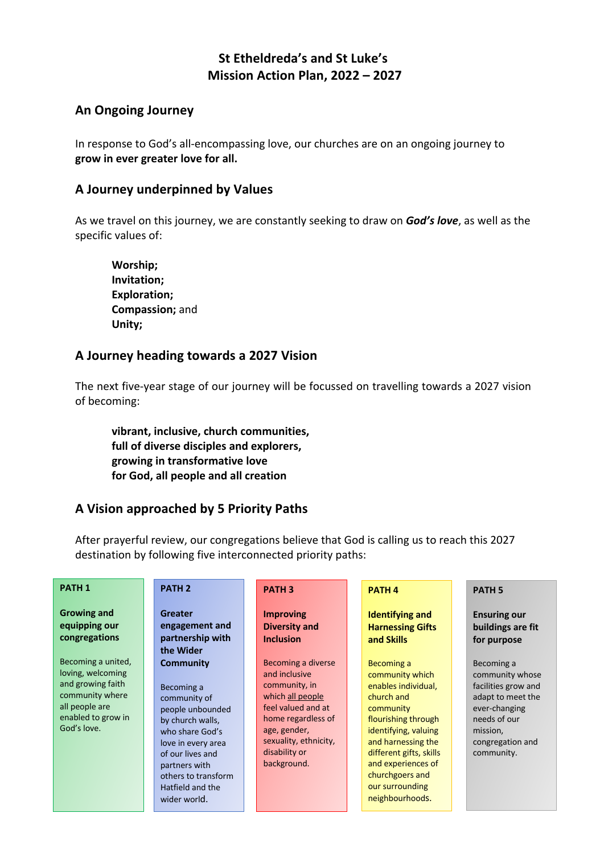# **St Etheldreda's and St Luke's Mission Action Plan, 2022 – 2027**

## **An Ongoing Journey**

In response to God's all-encompassing love, our churches are on an ongoing journey to **grow in ever greater love for all.**

## **A Journey underpinned by Values**

As we travel on this journey, we are constantly seeking to draw on *God's love*, as well as the specific values of:

**Worship; Invitation; Exploration; Compassion;** and **Unity;**

### **A Journey heading towards a 2027 Vision**

The next five-year stage of our journey will be focussed on travelling towards a 2027 vision of becoming:

**vibrant, inclusive, church communities, full of diverse disciples and explorers, growing in transformative love for God, all people and all creation**

# **A Vision approached by 5 Priority Paths**

After prayerful review, our congregations believe that God is calling us to reach this 2027 destination by following five interconnected priority paths:

| <b>PATH 1</b>                                                                                                                                                                                  | <b>PATH 2</b>                                                                                                                                                                                                                                                                                        | <b>PATH 3</b>                                                                                                                                                                                                                                                 | <b>PATH4</b>                                                                                                                                                                                                                                                                                                                      | <b>PATH 5</b>                                                                                                                                                                                                       |
|------------------------------------------------------------------------------------------------------------------------------------------------------------------------------------------------|------------------------------------------------------------------------------------------------------------------------------------------------------------------------------------------------------------------------------------------------------------------------------------------------------|---------------------------------------------------------------------------------------------------------------------------------------------------------------------------------------------------------------------------------------------------------------|-----------------------------------------------------------------------------------------------------------------------------------------------------------------------------------------------------------------------------------------------------------------------------------------------------------------------------------|---------------------------------------------------------------------------------------------------------------------------------------------------------------------------------------------------------------------|
| <b>Growing and</b><br>equipping our<br>congregations<br>Becoming a united,<br>loving, welcoming<br>and growing faith<br>community where<br>all people are<br>enabled to grow in<br>God's love. | <b>Greater</b><br>engagement and<br>partnership with<br>the Wider<br><b>Community</b><br>Becoming a<br>community of<br>people unbounded<br>by church walls,<br>who share God's<br>love in every area<br>of our lives and<br>partners with<br>others to transform<br>Hatfield and the<br>wider world. | <b>Improving</b><br><b>Diversity and</b><br><b>Inclusion</b><br>Becoming a diverse<br>and inclusive<br>community, in<br>which all people<br>feel valued and at<br>home regardless of<br>age, gender,<br>sexuality, ethnicity,<br>disability or<br>background. | <b>Identifying and</b><br><b>Harnessing Gifts</b><br>and Skills<br>Becoming a<br>community which<br>enables individual,<br>church and<br>community<br>flourishing through<br>identifying, valuing<br>and harnessing the<br>different gifts, skills<br>and experiences of<br>churchgoers and<br>our surrounding<br>neighbourhoods. | <b>Ensuring our</b><br>buildings are fit<br>for purpose<br>Becoming a<br>community whose<br>facilities grow and<br>adapt to meet the<br>ever-changing<br>needs of our<br>mission,<br>congregation and<br>community. |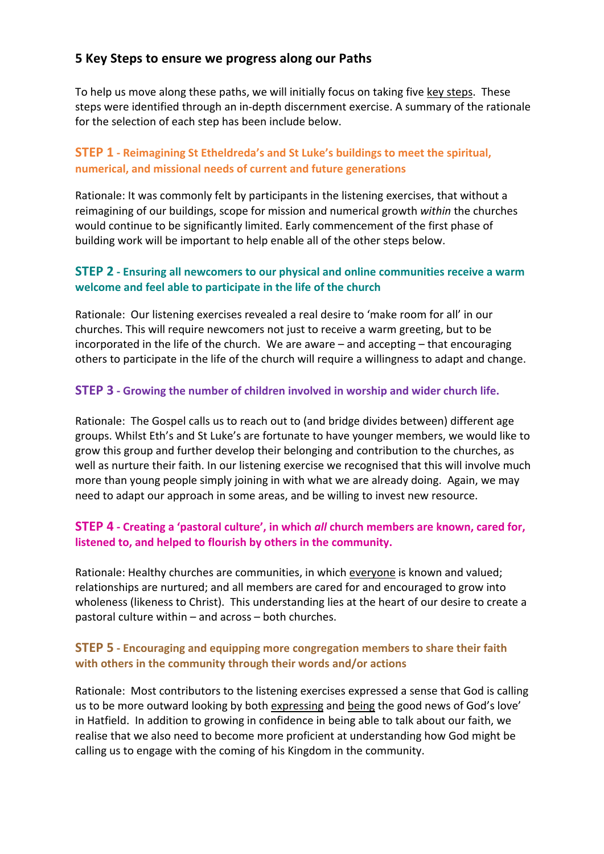## **5 Key Steps to ensure we progress along our Paths**

To help us move along these paths, we will initially focus on taking five key steps. These steps were identified through an in-depth discernment exercise. A summary of the rationale for the selection of each step has been include below.

## **STEP 1 - Reimagining St Etheldreda's and St Luke's buildings to meet the spiritual, numerical, and missional needs of current and future generations**

Rationale: It was commonly felt by participants in the listening exercises, that without a reimagining of our buildings, scope for mission and numerical growth *within* the churches would continue to be significantly limited. Early commencement of the first phase of building work will be important to help enable all of the other steps below.

#### **STEP 2 - Ensuring all newcomers to our physical and online communities receive a warm welcome and feel able to participate in the life of the church**

Rationale: Our listening exercises revealed a real desire to 'make room for all' in our churches. This will require newcomers not just to receive a warm greeting, but to be incorporated in the life of the church. We are aware – and accepting – that encouraging others to participate in the life of the church will require a willingness to adapt and change.

#### **STEP 3 - Growing the number of children involved in worship and wider church life.**

Rationale: The Gospel calls us to reach out to (and bridge divides between) different age groups. Whilst Eth's and St Luke's are fortunate to have younger members, we would like to grow this group and further develop their belonging and contribution to the churches, as well as nurture their faith. In our listening exercise we recognised that this will involve much more than young people simply joining in with what we are already doing. Again, we may need to adapt our approach in some areas, and be willing to invest new resource.

### **STEP 4 - Creating a 'pastoral culture', in which** *all* **church members are known, cared for, listened to, and helped to flourish by others in the community.**

Rationale: Healthy churches are communities, in which everyone is known and valued; relationships are nurtured; and all members are cared for and encouraged to grow into wholeness (likeness to Christ). This understanding lies at the heart of our desire to create a pastoral culture within – and across – both churches.

#### **STEP 5 - Encouraging and equipping more congregation members to share their faith with others in the community through their words and/or actions**

Rationale: Most contributors to the listening exercises expressed a sense that God is calling us to be more outward looking by both expressing and being the good news of God's love' in Hatfield. In addition to growing in confidence in being able to talk about our faith, we realise that we also need to become more proficient at understanding how God might be calling us to engage with the coming of his Kingdom in the community.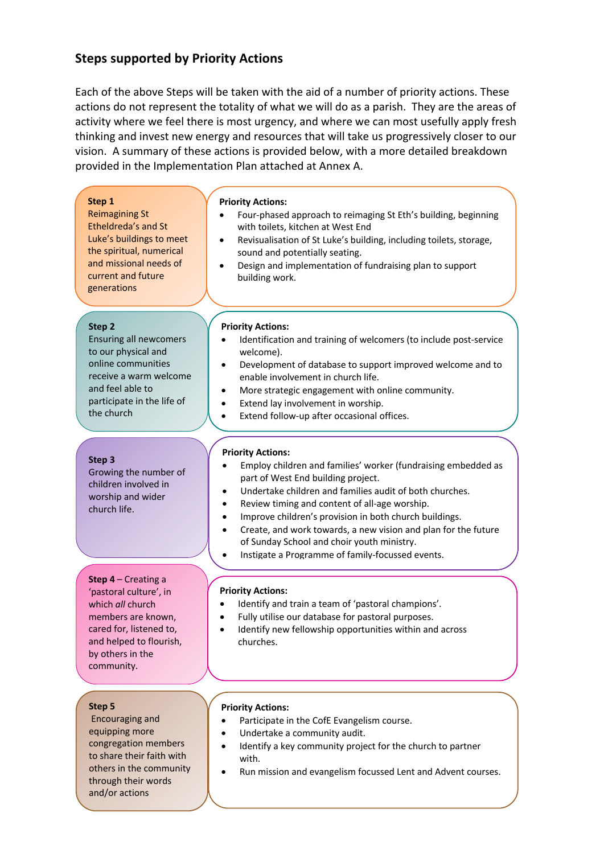## **Steps supported by Priority Actions**

and/or actions

Each of the above Steps will be taken with the aid of a number of priority actions. These actions do not represent the totality of what we will do as a parish. They are the areas of activity where we feel there is most urgency, and where we can most usefully apply fresh thinking and invest new energy and resources that will take us progressively closer to our vision. A summary of these actions is provided below, with a more detailed breakdown provided in the Implementation Plan attached at Annex A.

| Step 1<br><b>Reimagining St</b><br>Etheldreda's and St<br>Luke's buildings to meet<br>the spiritual, numerical<br>and missional needs of<br>current and future<br>generations             | <b>Priority Actions:</b><br>Four-phased approach to reimaging St Eth's building, beginning<br>with toilets, kitchen at West End<br>Revisualisation of St Luke's building, including toilets, storage,<br>٠<br>sound and potentially seating.<br>Design and implementation of fundraising plan to support<br>building work.                                                                                                                                                                                    |
|-------------------------------------------------------------------------------------------------------------------------------------------------------------------------------------------|---------------------------------------------------------------------------------------------------------------------------------------------------------------------------------------------------------------------------------------------------------------------------------------------------------------------------------------------------------------------------------------------------------------------------------------------------------------------------------------------------------------|
| Step <sub>2</sub><br><b>Ensuring all newcomers</b><br>to our physical and<br>online communities<br>receive a warm welcome<br>and feel able to<br>participate in the life of<br>the church | <b>Priority Actions:</b><br>Identification and training of welcomers (to include post-service<br>welcome).<br>Development of database to support improved welcome and to<br>$\bullet$<br>enable involvement in church life.<br>More strategic engagement with online community.<br>$\bullet$<br>Extend lay involvement in worship.<br>$\bullet$<br>Extend follow-up after occasional offices.<br>$\bullet$                                                                                                    |
| Step 3<br>Growing the number of<br>children involved in<br>worship and wider<br>church life.                                                                                              | <b>Priority Actions:</b><br>Employ children and families' worker (fundraising embedded as<br>part of West End building project.<br>Undertake children and families audit of both churches.<br>٠<br>Review timing and content of all-age worship.<br>Improve children's provision in both church buildings.<br>٠<br>Create, and work towards, a new vision and plan for the future<br>$\bullet$<br>of Sunday School and choir youth ministry.<br>Instigate a Programme of family-focussed events.<br>$\bullet$ |
| <b>Step 4 – Creating a</b><br>'pastoral culture', in<br>which all church<br>members are known,<br>cared for, listened to,<br>and helped to flourish,<br>by others in the<br>community.    | <b>Priority Actions:</b><br>Identify and train a team of 'pastoral champions'.<br>$\bullet$<br>Fully utilise our database for pastoral purposes.<br>Identify new fellowship opportunities within and across<br>$\bullet$<br>churches.                                                                                                                                                                                                                                                                         |
| Step 5<br>Encouraging and<br>equipping more<br>congregation members<br>to share their faith with<br>others in the community<br>through their words                                        | <b>Priority Actions:</b><br>Participate in the CofE Evangelism course.<br>Undertake a community audit.<br>Identify a key community project for the church to partner<br>with.<br>Run mission and evangelism focussed Lent and Advent courses.                                                                                                                                                                                                                                                                 |